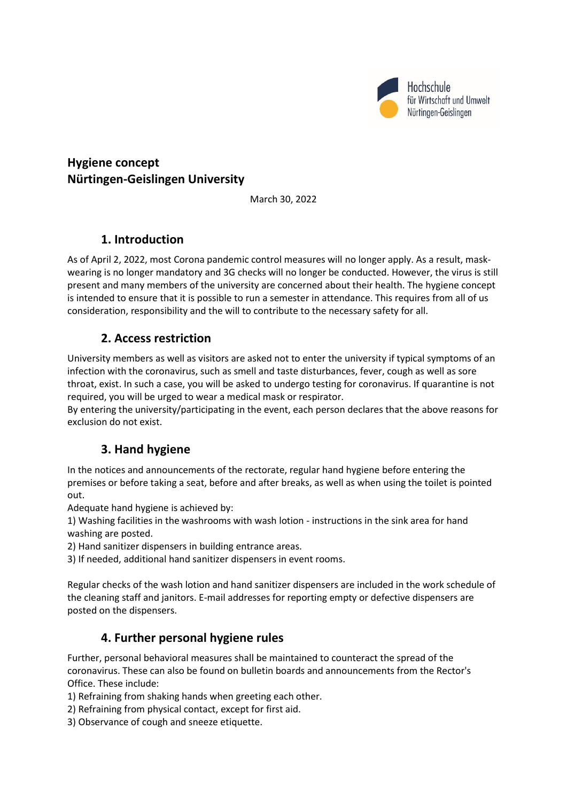

# **Hygiene concept Nürtingen-Geislingen University**

March 30, 2022

## **1. Introduction**

As of April 2, 2022, most Corona pandemic control measures will no longer apply. As a result, maskwearing is no longer mandatory and 3G checks will no longer be conducted. However, the virus is still present and many members of the university are concerned about their health. The hygiene concept is intended to ensure that it is possible to run a semester in attendance. This requires from all of us consideration, responsibility and the will to contribute to the necessary safety for all.

#### **2. Access restriction**

University members as well as visitors are asked not to enter the university if typical symptoms of an infection with the coronavirus, such as smell and taste disturbances, fever, cough as well as sore throat, exist. In such a case, you will be asked to undergo testing for coronavirus. If quarantine is not required, you will be urged to wear a medical mask or respirator.

By entering the university/participating in the event, each person declares that the above reasons for exclusion do not exist.

## **3. Hand hygiene**

In the notices and announcements of the rectorate, regular hand hygiene before entering the premises or before taking a seat, before and after breaks, as well as when using the toilet is pointed out.

Adequate hand hygiene is achieved by:

1) Washing facilities in the washrooms with wash lotion - instructions in the sink area for hand washing are posted.

- 2) Hand sanitizer dispensers in building entrance areas.
- 3) If needed, additional hand sanitizer dispensers in event rooms.

Regular checks of the wash lotion and hand sanitizer dispensers are included in the work schedule of the cleaning staff and janitors. E-mail addresses for reporting empty or defective dispensers are posted on the dispensers.

#### **4. Further personal hygiene rules**

Further, personal behavioral measures shall be maintained to counteract the spread of the coronavirus. These can also be found on bulletin boards and announcements from the Rector's Office. These include:

- 1) Refraining from shaking hands when greeting each other.
- 2) Refraining from physical contact, except for first aid.
- 3) Observance of cough and sneeze etiquette.